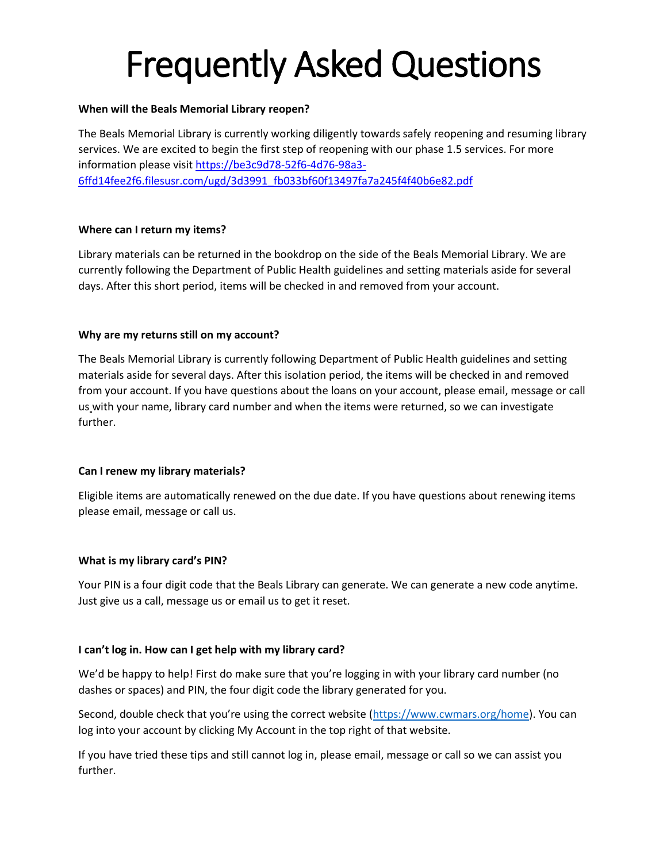## Frequently Asked Questions

#### **When will the Beals Memorial Library reopen?**

The Beals Memorial Library is currently working diligently towards safely reopening and resuming library services. We are excited to begin the first step of reopening with our phase 1.5 services. For more information please visi[t https://be3c9d78-52f6-4d76-98a3-](https://be3c9d78-52f6-4d76-98a3-6ffd14fee2f6.filesusr.com/ugd/3d3991_fb033bf60f13497fa7a245f4f40b6e82.pdf) [6ffd14fee2f6.filesusr.com/ugd/3d3991\\_fb033bf60f13497fa7a245f4f40b6e82.pdf](https://be3c9d78-52f6-4d76-98a3-6ffd14fee2f6.filesusr.com/ugd/3d3991_fb033bf60f13497fa7a245f4f40b6e82.pdf)

#### **Where can I return my items?**

Library materials can be returned in the bookdrop on the side of the Beals Memorial Library. We are currently following the Department of Public Health guidelines and setting materials aside for several days. After this short period, items will be checked in and removed from your account.

#### **Why are my returns still on my account?**

The Beals Memorial Library is currently following Department of Public Health guidelines and setting materials aside for several days. After this isolation period, the items will be checked in and removed from your account. If you have questions about the loans on your account, please email, message or call us with your name, library card number and when the items were returned, so we can investigate further.

#### **Can I renew my library materials?**

Eligible items are automatically renewed on the due date. If you have questions about renewing items please email, message or call us.

#### **What is my library card's PIN?**

Your PIN is a four digit code that the Beals Library can generate. We can generate a new code anytime. Just give us a call, message us or email us to get it reset.

#### **I can't log in. How can I get help with my library card?**

We'd be happy to help! First do make sure that you're logging in with your library card number (no dashes or spaces) and PIN, the four digit code the library generated for you.

Second, double check that you're using the correct website ([https://www.cwmars.org/home\)](https://www.cwmars.org/home). You can log into your account by clicking My Account in the top right of that website.

If you have tried these tips and still cannot log in, please email, message or call so we can assist you further.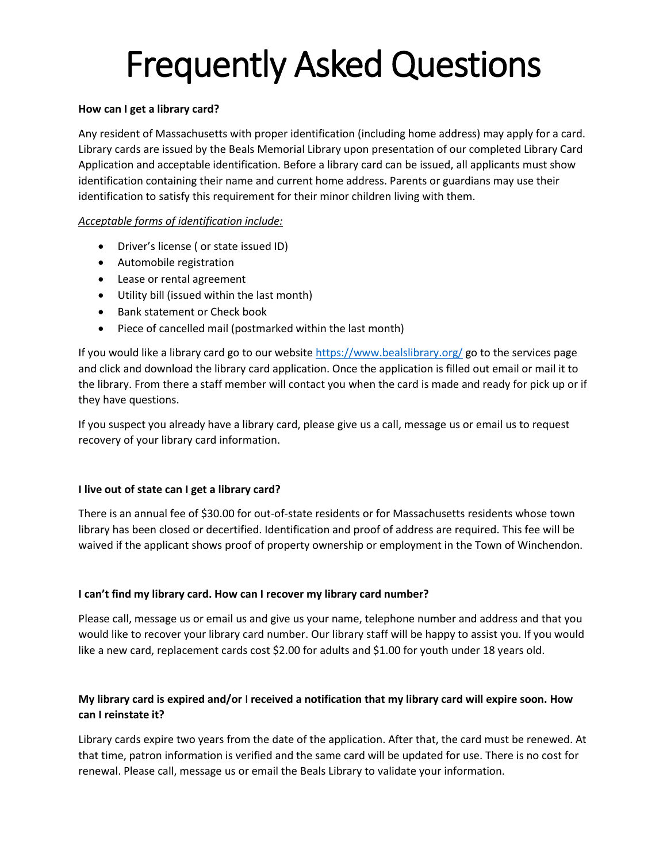# Frequently Asked Questions

#### **How can I get a library card?**

Any resident of Massachusetts with proper identification (including home address) may apply for a card. Library cards are issued by the Beals Memorial Library upon presentation of our completed Library Card Application and acceptable identification. Before a library card can be issued, all applicants must show identification containing their name and current home address. Parents or guardians may use their identification to satisfy this requirement for their minor children living with them.

## *Acceptable forms of identification include:*

- Driver's license ( or state issued ID)
- Automobile registration
- Lease or rental agreement
- Utility bill (issued within the last month)
- Bank statement or Check book
- Piece of cancelled mail (postmarked within the last month)

If you would like a library card go to our website<https://www.bealslibrary.org/> go to the services page and click and download the library card application. Once the application is filled out email or mail it to the library. From there a staff member will contact you when the card is made and ready for pick up or if they have questions.

If you suspect you already have a library card, please give us a call, message us or email us to request recovery of your library card information.

## **I live out of state can I get a library card?**

There is an annual fee of \$30.00 for out-of-state residents or for Massachusetts residents whose town library has been closed or decertified. Identification and proof of address are required. This fee will be waived if the applicant shows proof of property ownership or employment in the Town of Winchendon.

## **I can't find my library card. How can I recover my library card number?**

Please call, message us or email us and give us your name, telephone number and address and that you would like to recover your library card number. Our library staff will be happy to assist you. If you would like a new card, replacement cards cost \$2.00 for adults and \$1.00 for youth under 18 years old.

## **My library card is expired and/or** I **received a notification that my library card will expire soon. How can I reinstate it?**

Library cards expire two years from the date of the application. After that, the card must be renewed. At that time, patron information is verified and the same card will be updated for use. There is no cost for renewal. Please call, message us or email the Beals Library to validate your information.